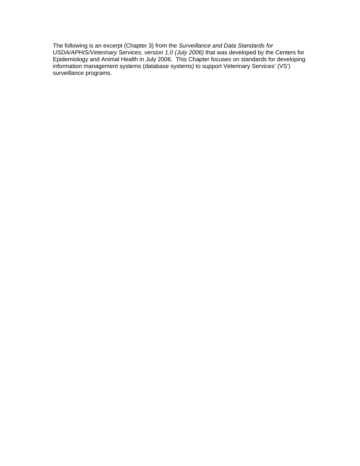The following is an excerpt (Chapter 3) from the *Surveillance and Data Standards for USDA/APHIS/Veterinary Services, version 1.0 (July 2006)* that was developed by the Centers for Epidemiology and Animal Health in July 2006. This Chapter focuses on standards for developing information management systems (database systems) to support Veterinary Services' (VS') surveillance programs.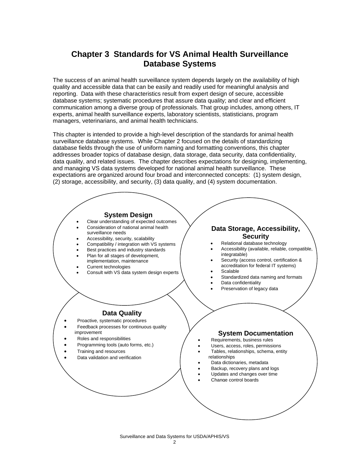# **Chapter 3 Standards for VS Animal Health Surveillance Database Systems**

The success of an animal health surveillance system depends largely on the availability of high quality and accessible data that can be easily and readily used for meaningful analysis and reporting. Data with these characteristics result from expert design of secure, accessible database systems; systematic procedures that assure data quality; and clear and efficient communication among a diverse group of professionals. That group includes, among others, IT experts, animal health surveillance experts, laboratory scientists, statisticians, program managers, veterinarians, and animal health technicians.

This chapter is intended to provide a high-level description of the standards for animal health surveillance database systems. While Chapter 2 focused on the details of standardizing database fields through the use of uniform naming and formatting conventions, this chapter addresses broader topics of database design, data storage, data security, data confidentiality, data quality, and related issues. The chapter describes expectations for designing, implementing, and managing VS data systems developed for national animal health surveillance. These expectations are organized around four broad and interconnected concepts: (1) system design, (2) storage, accessibility, and security, (3) data quality, and (4) system documentation.



Surveillance and Data Systems for USDA/APHIS/VS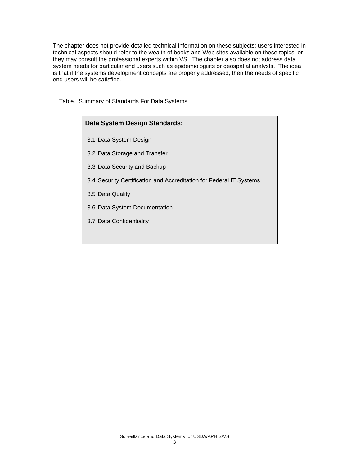The chapter does not provide detailed technical information on these subjects; users interested in technical aspects should refer to the wealth of books and Web sites available on these topics, or they may consult the professional experts within VS. The chapter also does not address data system needs for particular end users such as epidemiologists or geospatial analysts. The idea is that if the systems development concepts are properly addressed, then the needs of specific end users will be satisfied.

Table. Summary of Standards For Data Systems

| Data System Design Standards:                                       |
|---------------------------------------------------------------------|
| 3.1 Data System Design                                              |
| 3.2 Data Storage and Transfer                                       |
| 3.3 Data Security and Backup                                        |
| 3.4 Security Certification and Accreditation for Federal IT Systems |
| 3.5 Data Quality                                                    |
| 3.6 Data System Documentation                                       |
| 3.7 Data Confidentiality                                            |
|                                                                     |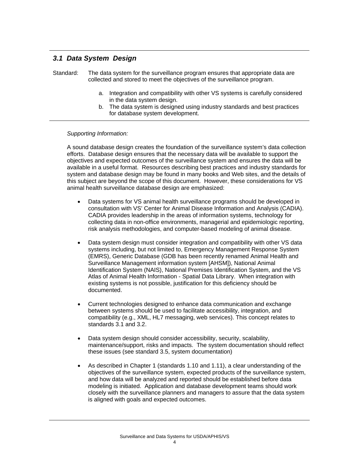# *3.1 Data System Design*

Standard: The data system for the surveillance program ensures that appropriate data are collected and stored to meet the objectives of the surveillance program.

- a. Integration and compatibility with other VS systems is carefully considered in the data system design.
- b. The data system is designed using industry standards and best practices for database system development.

#### *Supporting Information:*

A sound database design creates the foundation of the surveillance system's data collection efforts. Database design ensures that the necessary data will be available to support the objectives and expected outcomes of the surveillance system and ensures the data will be available in a useful format. Resources describing best practices and industry standards for system and database design may be found in many books and Web sites, and the details of this subject are beyond the scope of this document. However, these considerations for VS animal health surveillance database design are emphasized:

- Data systems for VS animal health surveillance programs should be developed in consultation with VS' Center for Animal Disease Information and Analysis (CADIA). CADIA provides leadership in the areas of information systems, technology for collecting data in non-office environments, managerial and epidemiologic reporting, risk analysis methodologies, and computer-based modeling of animal disease.
- Data system design must consider integration and compatibility with other VS data systems including, but not limited to, Emergency Management Response System (EMRS), Generic Database (GDB has been recently renamed Animal Health and Surveillance Management information system [AHSM]), National Animal Identification System (NAIS), National Premises Identification System, and the VS Atlas of Animal Health Information - Spatial Data Library. When integration with existing systems is not possible, justification for this deficiency should be documented.
- Current technologies designed to enhance data communication and exchange between systems should be used to facilitate accessibility, integration, and compatibility (e.g., XML, HL7 messaging, web services). This concept relates to standards 3.1 and 3.2.
- Data system design should consider accessibility, security, scalability, maintenance/support, risks and impacts. The system documentation should reflect these issues (see standard 3.5, system documentation)
- As described in Chapter 1 (standards 1.10 and 1.11), a clear understanding of the objectives of the surveillance system, expected products of the surveillance system, and how data will be analyzed and reported should be established before data modeling is initiated. Application and database development teams should work closely with the surveillance planners and managers to assure that the data system is aligned with goals and expected outcomes.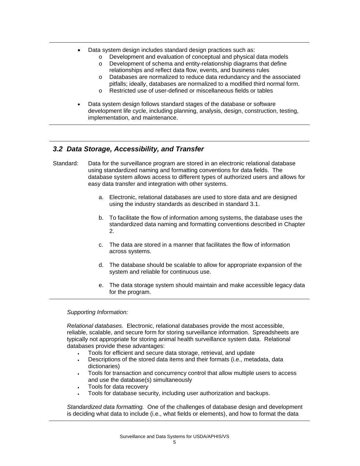- Data system design includes standard design practices such as:
	- o Development and evaluation of conceptual and physical data models
	- o Development of schema and entity-relationship diagrams that define relationships and reflect data flow, events, and business rules
	- o Databases are normalized to reduce data redundancy and the associated pitfalls; ideally, databases are normalized to a modified third normal form.
	- o Restricted use of user-defined or miscellaneous fields or tables
- Data system design follows standard stages of the database or software development life cycle, including planning, analysis, design, construction, testing, implementation, and maintenance.

### *3.2 Data Storage, Accessibility, and Transfer*

- Standard: Data for the surveillance program are stored in an electronic relational database using standardized naming and formatting conventions for data fields. The database system allows access to different types of authorized users and allows for easy data transfer and integration with other systems.
	- a. Electronic, relational databases are used to store data and are designed using the industry standards as described in standard 3.1.
	- b. To facilitate the flow of information among systems, the database uses the standardized data naming and formatting conventions described in Chapter 2.
	- c. The data are stored in a manner that facilitates the flow of information across systems.
	- d. The database should be scalable to allow for appropriate expansion of the system and reliable for continuous use.
	- e. The data storage system should maintain and make accessible legacy data for the program.

*Supporting Information:* 

*Relational databases.* Electronic, relational databases provide the most accessible, reliable, scalable, and secure form for storing surveillance information. Spreadsheets are typically not appropriate for storing animal health surveillance system data. Relational databases provide these advantages:

- Tools for efficient and secure data storage, retrieval, and update
- Descriptions of the stored data items and their formats (i.e., metadata, data dictionaries)
- Tools for transaction and concurrency control that allow multiple users to access and use the database(s) simultaneously
- Tools for data recovery
- Tools for database security, including user authorization and backups.

*Standardized data formatting.* One of the challenges of database design and development is deciding what data to include (i.e., what fields or elements), and how to format the data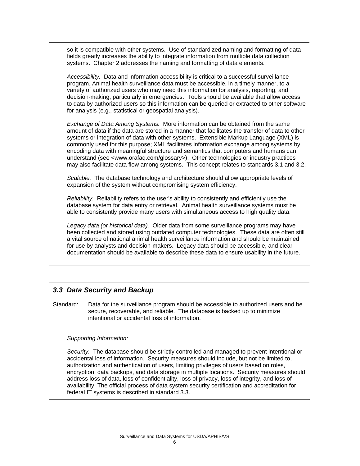so it is compatible with other systems. Use of standardized naming and formatting of data fields greatly increases the ability to integrate information from multiple data collection systems. Chapter 2 addresses the naming and formatting of data elements.

*Accessibility.* Data and information accessibility is critical to a successful surveillance program. Animal health surveillance data must be accessible, in a timely manner, to a variety of authorized users who may need this information for analysis, reporting, and decision-making, particularly in emergencies. Tools should be available that allow access to data by authorized users so this information can be queried or extracted to other software for analysis (e.g., statistical or geospatial analysis).

*Exchange of Data Among Systems.* More information can be obtained from the same amount of data if the data are stored in a manner that facilitates the transfer of data to other systems or integration of data with other systems. Extensible Markup Language (XML) is commonly used for this purpose; XML facilitates information exchange among systems by encoding data with meaningful structure and semantics that computers and humans can understand (see <[www.orafaq.com/glossary](http://www.orafaq.com/glossary)>). Other technologies or industry practices may also facilitate data flow among systems. This concept relates to standards 3.1 and 3.2.

*Scalable.* The database technology and architecture should allow appropriate levels of expansion of the system without compromising system efficiency.

*Reliability.* Reliability refers to the user's ability to consistently and efficiently use the database system for data entry or retrieval. Animal health surveillance systems must be able to consistently provide many users with simultaneous access to high quality data.

*Legacy data (or historical data).* Older data from some surveillance programs may have been collected and stored using outdated computer technologies. These data are often still a vital source of national animal health surveillance information and should be maintained for use by analysts and decision-makers. Legacy data should be accessible, and clear documentation should be available to describe these data to ensure usability in the future.

### *3.3 Data Security and Backup*

Standard: Data for the surveillance program should be accessible to authorized users and be secure, recoverable, and reliable. The database is backed up to minimize intentional or accidental loss of information.

#### *Supporting Information:*

*Security.* The database should be strictly controlled and managed to prevent intentional or accidental loss of information. Security measures should include, but not be limited to, authorization and authentication of users, limiting privileges of users based on roles, encryption, data backups, and data storage in multiple locations. Security measures should address loss of data, loss of confidentiality, loss of privacy, loss of integrity, and loss of availability. The official process of data system security certification and accreditation for federal IT systems is described in standard 3.3.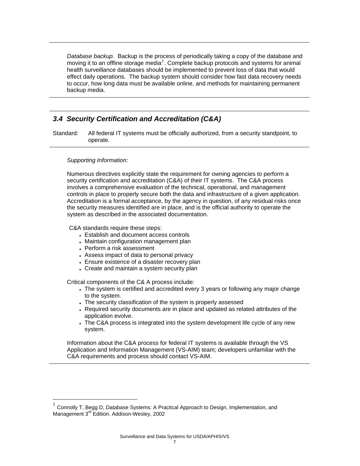*Database backup.* Backup is the process of periodically taking a copy of the database and moving it to an offline storage media<sup>[1](#page-6-0)</sup>. Complete backup protocols and systems for animal health surveillance databases should be implemented to prevent loss of data that would effect daily operations. The backup system should consider how fast data recovery needs to occur, how long data must be available online, and methods for maintaining permanent backup media.

# *3.4 Security Certification and Accreditation (C&A)*

Standard: All federal IT systems must be officially authorized, from a security standpoint, to operate.

#### *Supporting Information:*

 $\overline{a}$ 

Numerous directives explicitly state the requirement for owning agencies to perform a security certification and accreditation (C&A) of their IT systems. The C&A process involves a comprehensive evaluation of the technical, operational, and management controls in place to properly secure both the data and infrastructure of a given application. Accreditation is a formal acceptance, by the agency in question, of any residual risks once the security measures identified are in place, and is the official authority to operate the system as described in the associated documentation.

C&A standards require these steps:

- Establish and document access controls
- Maintain configuration management plan
- Perform a risk assessment
- Assess impact of data to personal privacy
- Ensure existence of a disaster recovery plan
- Create and maintain a system security plan

Critical components of the C& A process include:

- The system is certified and accredited every 3 years or following any major change to the system.
- The security classification of the system is properly assessed
- Required security documents are in place and updated as related attributes of the application evolve.
- The C&A process is integrated into the system development life cycle of any new system.

Information about the C&A process for federal IT systems is available through the VS Application and Information Management (VS-AIM) team; developers unfamiliar with the C&A requirements and process should contact VS-AIM.

<span id="page-6-0"></span><sup>1</sup> Connolly T, Begg D, Database Systems: A Practical Approach to Design, Implementation, and Management 3<sup>rd</sup> Edition. Addison-Wesley, 2002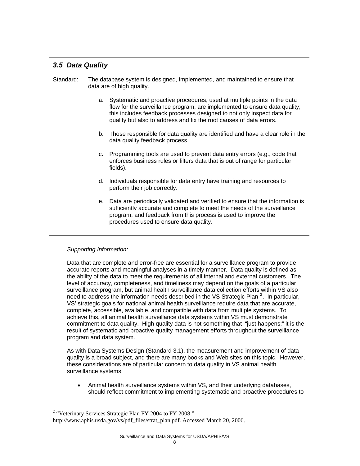# *3.5 Data Quality*

- Standard: The database system is designed, implemented, and maintained to ensure that data are of high quality.
	- a. Systematic and proactive procedures, used at multiple points in the data flow for the surveillance program, are implemented to ensure data quality; this includes feedback processes designed to not only inspect data for quality but also to address and fix the root causes of data errors.
	- b. Those responsible for data quality are identified and have a clear role in the data quality feedback process.
	- c. Programming tools are used to prevent data entry errors (e.g., code that enforces business rules or filters data that is out of range for particular fields).
	- d. Individuals responsible for data entry have training and resources to perform their job correctly.
	- e. Data are periodically validated and verified to ensure that the information is sufficiently accurate and complete to meet the needs of the surveillance program, and feedback from this process is used to improve the procedures used to ensure data quality.

### *Supporting Information:*

Data that are complete and error-free are essential for a surveillance program to provide accurate reports and meaningful analyses in a timely manner. Data quality is defined as the ability of the data to meet the requirements of all internal and external customers. The level of accuracy, completeness, and timeliness may depend on the goals of a particular surveillance program, but animal health surveillance data collection efforts within VS also need to address the information needs described in the VS Strategic Plan  $^2$  $^2$ . In particular, VS' strategic goals for national animal health surveillance require data that are accurate, complete, accessible, available, and compatible with data from multiple systems. To achieve this, all animal health surveillance data systems within VS must demonstrate commitment to data quality. High quality data is not something that "just happens;" it is the result of systematic and proactive quality management efforts throughout the surveillance program and data system.

As with Data Systems Design (Standard 3.1), the measurement and improvement of data quality is a broad subject, and there are many books and Web sites on this topic. However, these considerations are of particular concern to data quality in VS animal health surveillance systems:

• Animal health surveillance systems within VS, and their underlying databases, should reflect commitment to implementing systematic and proactive procedures to

 $\overline{a}$ 

<span id="page-7-0"></span><sup>&</sup>lt;sup>2</sup> "Veterinary Services Strategic Plan FY 2004 to FY 2008,"

http://www.aphis.usda.gov/vs/pdf\_files/strat\_plan.pdf. Accessed March 20, 2006.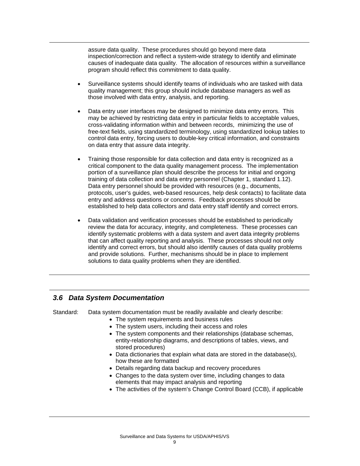assure data quality. These procedures should go beyond mere data inspection/correction and reflect a system-wide strategy to identify and eliminate causes of inadequate data quality. The allocation of resources within a surveillance program should reflect this commitment to data quality.

- Surveillance systems should identify teams of individuals who are tasked with data quality management; this group should include database managers as well as those involved with data entry, analysis, and reporting.
- Data entry user interfaces may be designed to minimize data entry errors. This may be achieved by restricting data entry in particular fields to acceptable values, cross-validating information within and between records, minimizing the use of free-text fields, using standardized terminology, using standardized lookup tables to control data entry, forcing users to double-key critical information, and constraints on data entry that assure data integrity.
- Training those responsible for data collection and data entry is recognized as a critical component to the data quality management process. The implementation portion of a surveillance plan should describe the process for initial and ongoing training of data collection and data entry personnel (Chapter 1, standard 1.12). Data entry personnel should be provided with resources (e.g., documents, protocols, user's guides, web-based resources, help desk contacts) to facilitate data entry and address questions or concerns. Feedback processes should be established to help data collectors and data entry staff identify and correct errors.
- Data validation and verification processes should be established to periodically review the data for accuracy, integrity, and completeness. These processes can identify systematic problems with a data system and avert data integrity problems that can affect quality reporting and analysis. These processes should not only identify and correct errors, but should also identify causes of data quality problems and provide solutions. Further, mechanisms should be in place to implement solutions to data quality problems when they are identified.

### *3.6 Data System Documentation*

Standard: Data system documentation must be readily available and clearly describe:

- The system requirements and business rules
- The system users, including their access and roles
- The system components and their relationships (database schemas, entity-relationship diagrams, and descriptions of tables, views, and stored procedures)
- Data dictionaries that explain what data are stored in the database(s), how these are formatted
- Details regarding data backup and recovery procedures
- Changes to the data system over time, including changes to data elements that may impact analysis and reporting
- The activities of the system's Change Control Board (CCB), if applicable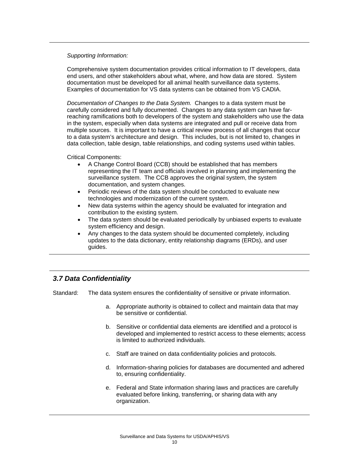#### *Supporting Information:*

Comprehensive system documentation provides critical information to IT developers, data end users, and other stakeholders about what, where, and how data are stored. System documentation must be developed for all animal health surveillance data systems. Examples of documentation for VS data systems can be obtained from VS CADIA.

*Documentation of Changes to the Data System.* Changes to a data system must be carefully considered and fully documented. Changes to any data system can have farreaching ramifications both to developers of the system and stakeholders who use the data in the system, especially when data systems are integrated and pull or receive data from multiple sources. It is important to have a critical review process of all changes that occur to a data system's architecture and design. This includes, but is not limited to, changes in data collection, table design, table relationships, and coding systems used within tables.

Critical Components:

- A Change Control Board (CCB) should be established that has members representing the IT team and officials involved in planning and implementing the surveillance system. The CCB approves the original system, the system documentation, and system changes.
- Periodic reviews of the data system should be conducted to evaluate new technologies and modernization of the current system.
- New data systems within the agency should be evaluated for integration and contribution to the existing system.
- The data system should be evaluated periodically by unbiased experts to evaluate system efficiency and design.
- Any changes to the data system should be documented completely, including updates to the data dictionary, entity relationship diagrams (ERDs), and user guides.

# *3.7 Data Confidentiality*

Standard: The data system ensures the confidentiality of sensitive or private information.

- a. Appropriate authority is obtained to collect and maintain data that may be sensitive or confidential.
- b. Sensitive or confidential data elements are identified and a protocol is developed and implemented to restrict access to these elements; access is limited to authorized individuals.
- c. Staff are trained on data confidentiality policies and protocols.
- d. Information-sharing policies for databases are documented and adhered to, ensuring confidentiality.
- e. Federal and State information sharing laws and practices are carefully evaluated before linking, transferring, or sharing data with any organization.